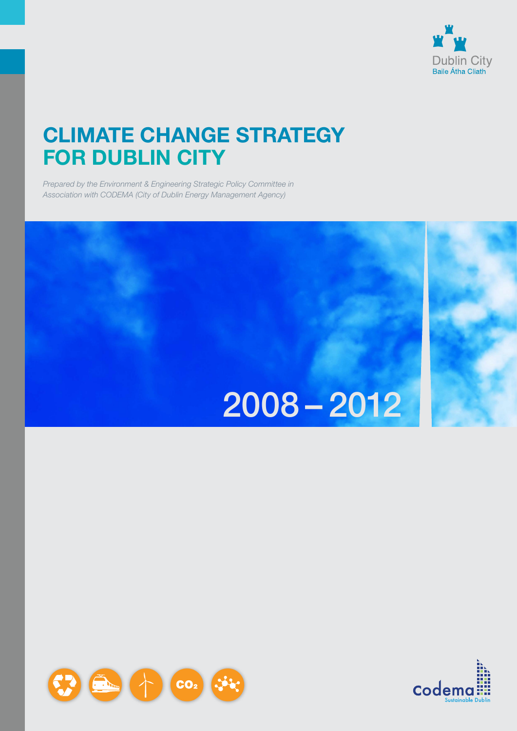

## **CLIMATE CHANGE STRATEGY FOR DUBLIN CITY**

*Prepared by the Environment & Engineering Strategic Policy Committee in Association with Codema (City of Dublin Energy Management Agency)*

# $2008 - 2012$



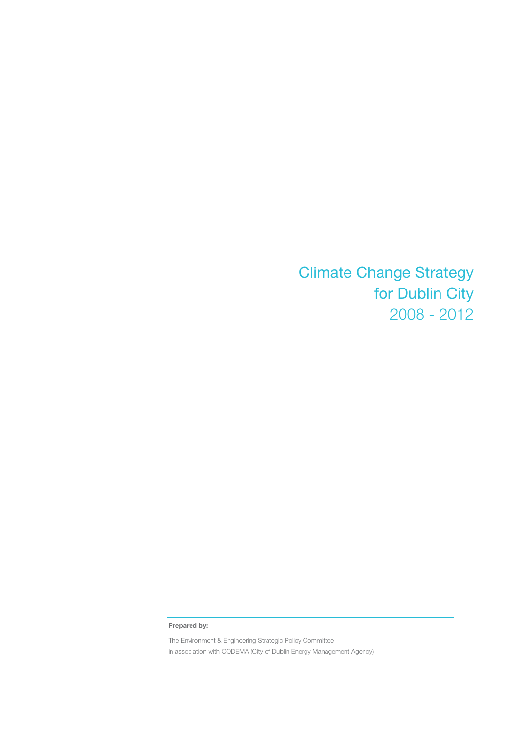Climate Change Strategy for Dublin City 2008 - 2012

**Prepared by:** 

The Environment & Engineering Strategic Policy Committee in association with CODEMA (City of Dublin Energy Management Agency)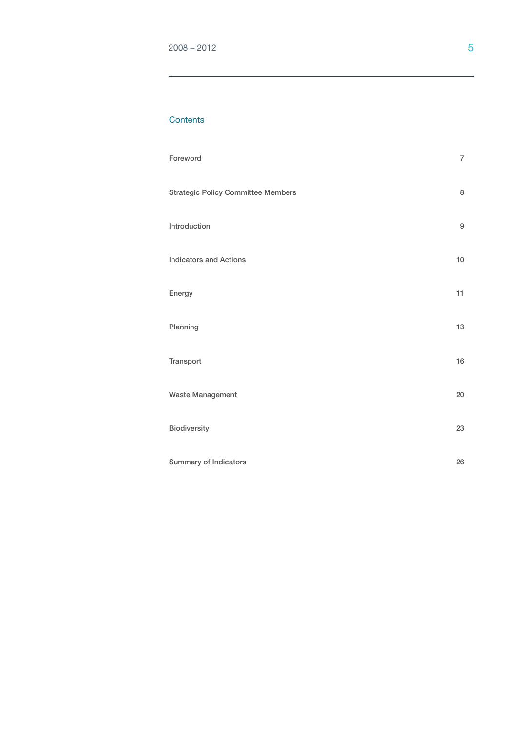#### **Contents**

| Foreword                                  | $\overline{7}$   |
|-------------------------------------------|------------------|
| <b>Strategic Policy Committee Members</b> | 8                |
| Introduction                              | $\boldsymbol{9}$ |
| <b>Indicators and Actions</b>             | 10               |
| Energy                                    | 11               |
| Planning                                  | 13               |
| Transport                                 | 16               |
| Waste Management                          | 20               |
| <b>Biodiversity</b>                       | 23               |
| Summary of Indicators                     | 26               |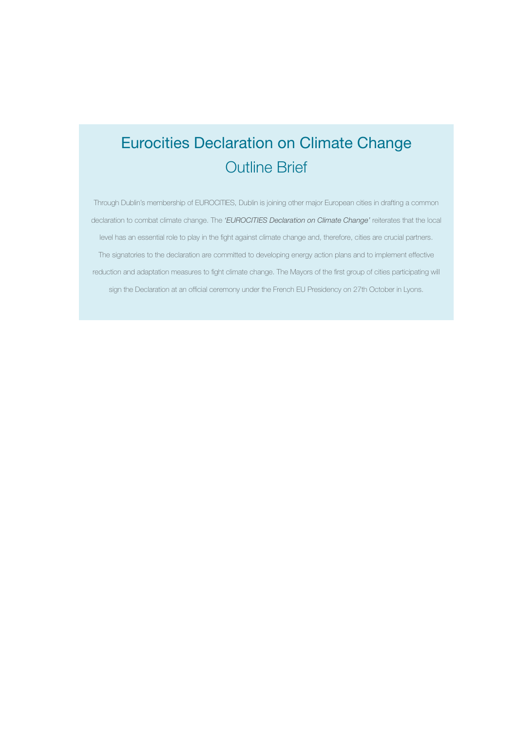## Eurocities Declaration on Climate Change Outline Brief

Through Dublin's membership of EUROCITIES, Dublin is joining other major European cities in drafting a common declaration to combat climate change. The *'EUROCITIES Declaration on Climate Change'* reiterates that the local level has an essential role to play in the fight against climate change and, therefore, cities are crucial partners. The signatories to the declaration are committed to developing energy action plans and to implement effective reduction and adaptation measures to fight climate change. The Mayors of the first group of cities participating will sign the Declaration at an official ceremony under the French EU Presidency on 27th October in Lyons.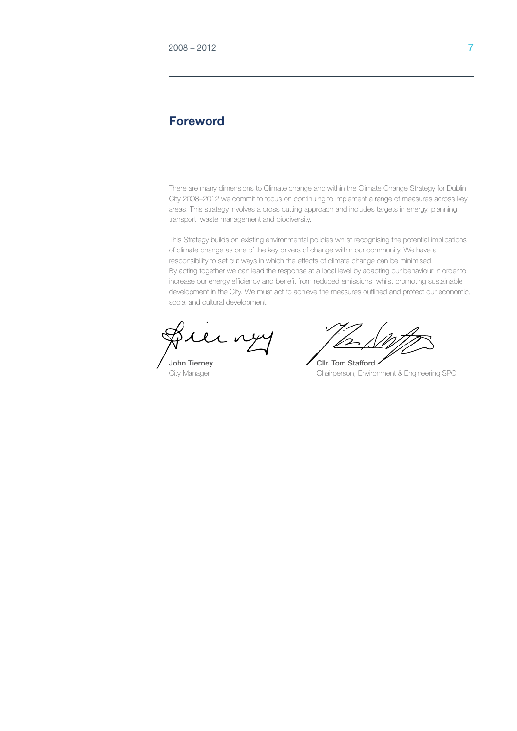## **Foreword**

There are many dimensions to Climate change and within the Climate Change Strategy for Dublin City 2008–2012 we commit to focus on continuing to implement a range of measures across key areas. This strategy involves a cross cutting approach and includes targets in energy, planning, transport, waste management and biodiversity.

This Strategy builds on existing environmental policies whilst recognising the potential implications of climate change as one of the key drivers of change within our community. We have a responsibility to set out ways in which the effects of climate change can be minimised. By acting together we can lead the response at a local level by adapting our behaviour in order to increase our energy efficiency and benefit from reduced emissions, whilst promoting sustainable development in the City. We must act to achieve the measures outlined and protect our economic, social and cultural development.

 $\mathcal L$   $\mathfrak v$ 

John Tierney **Cllr.** Tom Stafford City Manager Chairperson, Environment & Engineering SPC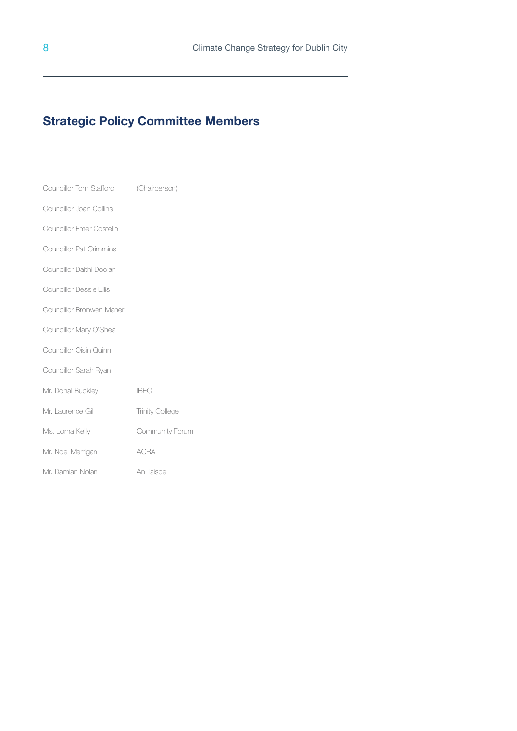## **Strategic Policy Committee Members**

| <b>Councillor Tom Stafford</b> | (Chairperson)          |
|--------------------------------|------------------------|
| Councillor Joan Collins        |                        |
| Councillor Emer Costello       |                        |
| <b>Councillor Pat Crimmins</b> |                        |
| Councillor Daithi Doolan       |                        |
| Councillor Dessie Ellis        |                        |
| Councillor Bronwen Maher       |                        |
| Councillor Mary O'Shea         |                        |
| Councillor Oisin Quinn         |                        |
| Councillor Sarah Ryan          |                        |
| Mr. Donal Buckley              | <b>IBEC</b>            |
| Mr. Laurence Gill              | <b>Trinity College</b> |
| Ms. Lorna Kelly                | Community Forum        |
| Mr. Noel Merrigan              | <b>ACRA</b>            |
| Mr. Damian Nolan               | An Taisce              |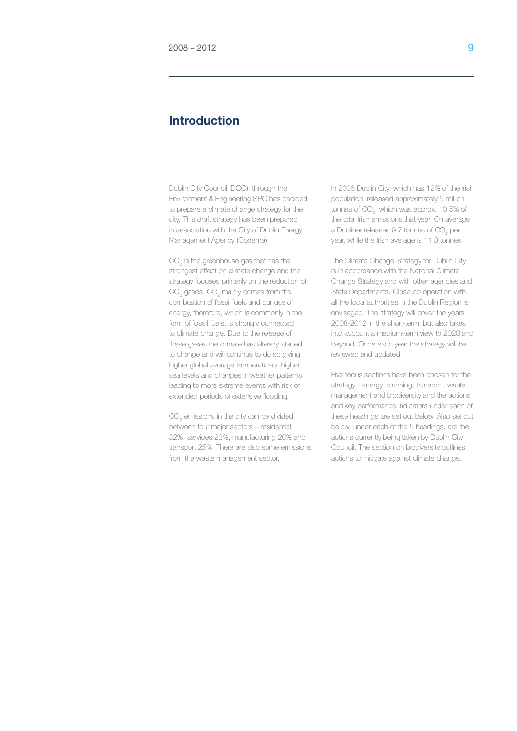## **Introduction**

Dublin City Council (DCC), through the Environment & Engineering SPC has decided to prepare a climate change strategy for the city. This draft strategy has been prepared in association with the City of Dublin Energy Management Agency (Codema).

 $CO<sub>2</sub>$  is the greenhouse gas that has the strongest effect on climate change and the strategy focuses primarily on the reduction of  $\mathrm{CO}_2$  gases.  $\mathrm{CO}_2$  mainly comes from the combustion of fossil fuels and our use of energy, therefore, which is commonly in the form of fossil fuels, is strongly connected to climate change. Due to the release of these gases the climate has already started to change and will continue to do so giving higher global average temperatures, higher sea levels and changes in weather patterns leading to more extreme events with risk of extended periods of extensive flooding.

 $CO_{2}$  emissions in the city can be divided between four major sectors – residential 32%, services 23%, manufacturing 20% and transport 25%. There are also some emissions from the waste management sector.

In 2006 Dublin City, which has 12% of the Irish population, released approximately 5 million tonnes of  $CO<sub>2</sub>$ , which was approx. 10.5% of the total Irish emissions that year. On average a Dubliner releases 9.7 tonnes of  $\mathrm{CO}_2^-$  per year, while the Irish average is 11.3 tonnes.

The Climate Change Strategy for Dublin City is in accordance with the National Climate Change Strategy and with other agencies and State Departments. Close co-operation with all the local authorities in the Dublin Region is envisaged. The strategy will cover the years 2008-2012 in the short-term, but also takes into account a medium-term view to 2020 and beyond. Once each year the strategy will be reviewed and updated.

Five focus sections have been chosen for the strategy - energy, planning, transport, waste management and biodiversity and the actions and key performance indicators under each of these headings are set out below. Also set out below, under each of the 5 headings, are the actions currently being taken by Dublin City Council. The section on biodiversity outlines actions to mitigate against climate change.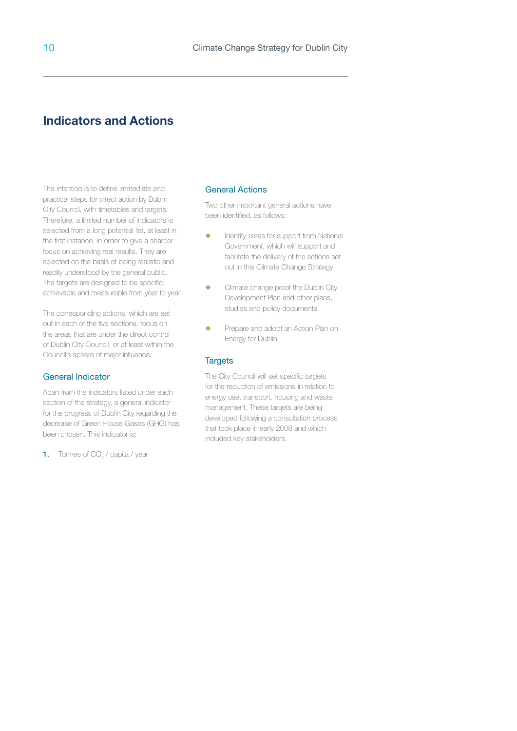## **Indicators and Actions**

The intention is to define immediate and practical steps for direct action by Dublin City Council, with timetables and targets. Therefore, a limited number of indicators is selected from a long potential list, at least in the first instance, in order to give a sharper focus on achieving real results. They are selected on the basis of being realistic and readily understood by the general public. The targets are designed to be specific. achievable and measurable from year to year.

The corresponding actions, which are set out in each of the five sections, focus on the areas that are under the direct control of Dublin City Council, or at least within the Council's sphere of major influence.

#### General Indicator

Apart from the indicators listed under each section of the strategy, a general indicator for the progress of Dublin City regarding the decrease of Green House Gases (GHG) has been chosen. This indicator is:

**1.** Tonnes of  $CO<sub>2</sub>$  / capita / year

#### General Actions

Two other important general actions have been identified, as follows:

- $\triangleleft$  Identify areas for support from National Government, which will support and facilitate the delivery of the actions set out in this Climate Change Strategy
- ◆ Climate change proof the Dublin City Development Plan and other plans, studies and policy documents
- **EXECUTE:** Prepare and adopt an Action Plan on Energy for Dublin

#### **Targets**

The City Council will set specific targets for the reduction of emissions in relation to energy use, transport, housing and waste management. These targets are being developed following a consultation process that took place in early 2008 and which included key stakeholders.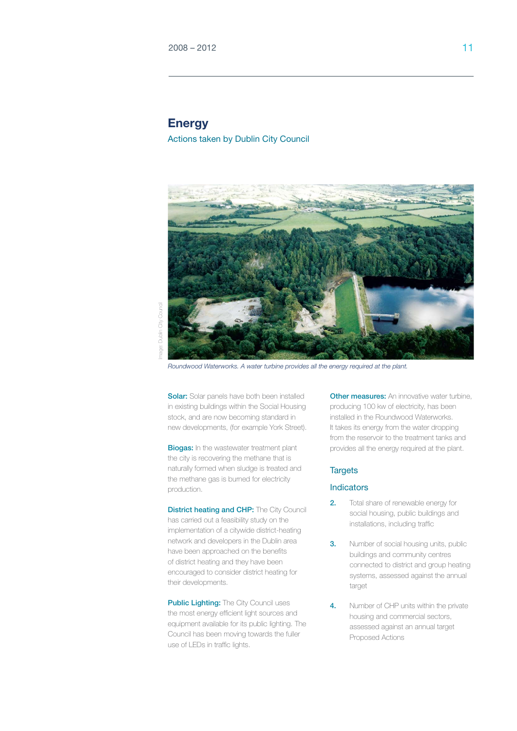## **Energy**

Actions taken by Dublin City Council



Dublin Oity Council Image: Dublin City Councilnage:

*Roundwood Waterworks. A water turbine provides all the energy required at the plant.*

**Solar:** Solar panels have both been installed in existing buildings within the Social Housing stock, and are now becoming standard in new developments, (for example York Street).

**Biogas:** In the wastewater treatment plant the city is recovering the methane that is naturally formed when sludge is treated and the methane gas is burned for electricity production.

**District heating and CHP:** The City Council has carried out a feasibility study on the implementation of a citywide district-heating network and developers in the Dublin area have been approached on the benefits of district heating and they have been encouraged to consider district heating for their developments.

Public Lighting: The City Council uses the most energy efficient light sources and equipment available for its public lighting. The Council has been moving towards the fuller use of LEDs in traffic lights.

**Other measures:** An innovative water turbine, producing 100 kw of electricity, has been installed in the Roundwood Waterworks. It takes its energy from the water dropping from the reservoir to the treatment tanks and provides all the energy required at the plant.

#### **Targets**

#### **Indicators**

- 2. Total share of renewable energy for social housing, public buildings and installations, including traffic
- **3.** Number of social housing units, public buildings and community centres connected to district and group heating systems, assessed against the annual target
- 4. Number of CHP units within the private housing and commercial sectors, assessed against an annual target Proposed Actions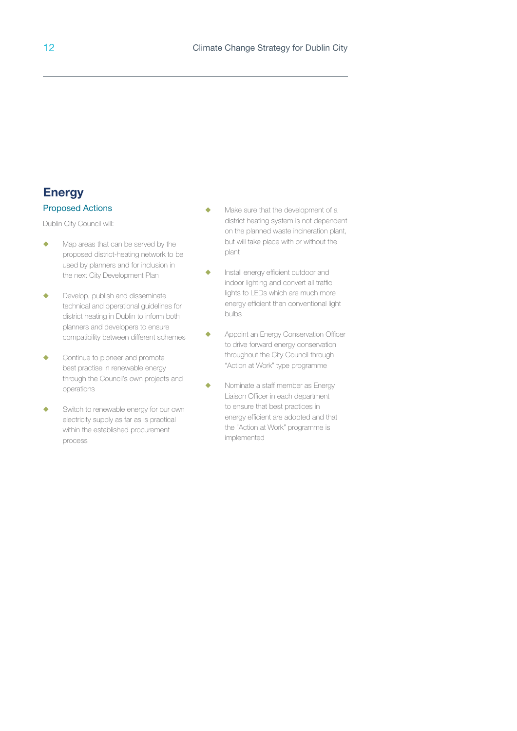## **Energy** Proposed Actions

- $\triangle$  Map areas that can be served by the proposed district-heating network to be used by planners and for inclusion in the next City Development Plan
- $\blacklozenge$  Develop, publish and disseminate technical and operational guidelines for district heating in Dublin to inform both planners and developers to ensure compatibility between different schemes
- $\leftarrow$  Continue to pioneer and promote best practise in renewable energy through the Council's own projects and operations
- Switch to renewable energy for our own electricity supply as far as is practical within the established procurement process
- $\triangle$  Make sure that the development of a district heating system is not dependent on the planned waste incineration plant, but will take place with or without the plant
- Install energy efficient outdoor and indoor lighting and convert all traffic lights to LEDs which are much more energy efficient than conventional light bulbs
- **+** Appoint an Energy Conservation Officer to drive forward energy conservation throughout the City Council through "Action at Work" type programme
- $\blacklozenge$  Nominate a staff member as Energy Liaison Officer in each department to ensure that best practices in energy efficient are adopted and that the "Action at Work" programme is implemented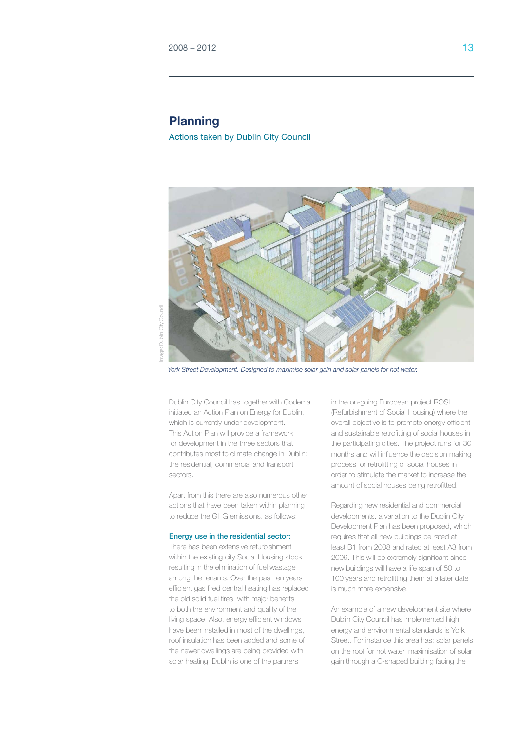## **Planning**

Actions taken by Dublin City Council



Dublin City Council Image: Dublin City Councilmage:

*York Street Development. Designed to maximise solar gain and solar panels for hot water.*

Dublin City Council has together with Codema initiated an Action Plan on Energy for Dublin, which is currently under development. This Action Plan will provide a framework for development in the three sectors that contributes most to climate change in Dublin: the residential, commercial and transport sectors.

Apart from this there are also numerous other actions that have been taken within planning to reduce the GHG emissions, as follows:

#### Energy use in the residential sector:

There has been extensive refurbishment within the existing city Social Housing stock resulting in the elimination of fuel wastage among the tenants. Over the past ten years efficient gas fired central heating has replaced the old solid fuel fires, with major benefits to both the environment and quality of the living space. Also, energy efficient windows have been installed in most of the dwellings, roof insulation has been added and some of the newer dwellings are being provided with solar heating. Dublin is one of the partners

in the on-going European project ROSH (Refurbishment of Social Housing) where the overall objective is to promote energy efficient and sustainable retrofitting of social houses in the participating cities. The project runs for 30 months and will influence the decision making process for retrofitting of social houses in order to stimulate the market to increase the amount of social houses being retrofitted.

Regarding new residential and commercial developments, a variation to the Dublin City Development Plan has been proposed, which requires that all new buildings be rated at least B1 from 2008 and rated at least A3 from 2009. This will be extremely significant since new buildings will have a life span of 50 to 100 years and retrofitting them at a later date is much more expensive.

An example of a new development site where Dublin City Council has implemented high energy and environmental standards is York Street. For instance this area has: solar panels on the roof for hot water, maximisation of solar gain through a C-shaped building facing the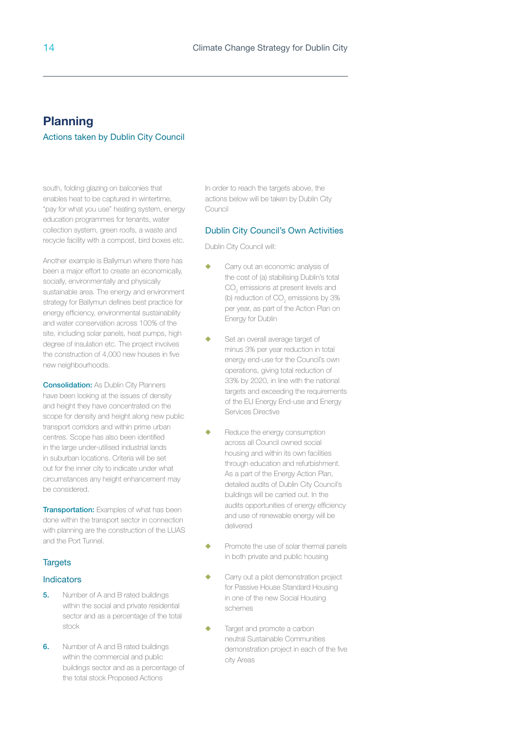## **Planning**

#### Actions taken by Dublin City Council

south, folding glazing on balconies that enables heat to be captured in wintertime, "pay for what you use" heating system, energy education programmes for tenants, water collection system, green roofs, a waste and recycle facility with a compost, bird boxes etc.

Another example is Ballymun where there has been a major effort to create an economically, socially, environmentally and physically sustainable area. The energy and environment strategy for Ballymun defines best practice for energy efficiency, environmental sustainability and water conservation across 100% of the site, including solar panels, heat pumps, high degree of insulation etc. The project involves the construction of 4,000 new houses in five new neighbourhoods.

**Consolidation:** As Dublin City Planners have been looking at the issues of density and height they have concentrated on the scope for density and height along new public transport corridors and within prime urban centres. Scope has also been identified in the large under-utilised industrial lands in suburban locations. Criteria will be set out for the inner city to indicate under what circumstances any height enhancement may be considered.

**Transportation:** Examples of what has been done within the transport sector in connection with planning are the construction of the LUAS and the Port Tunnel.

#### **Targets**

#### **Indicators**

- 5. Number of A and B rated buildings within the social and private residential sector and as a percentage of the total stock
- **6.** Number of A and B rated buildings within the commercial and public buildings sector and as a percentage of the total stock Proposed Actions

In order to reach the targets above, the actions below will be taken by Dublin City Council

#### Dublin City Council's Own Activities

- Carry out an economic analysis of the cost of (a) stabilising Dublin's total  $\mathrm{CO}_2$  emissions at present levels and (b) reduction of  $\mathrm{CO}_2$  emissions by 3% per year, as part of the Action Plan on Energy for Dublin
- Set an overall average target of minus 3% per year reduction in total energy end-use for the Council's own operations, giving total reduction of 33% by 2020, in line with the national targets and exceeding the requirements of the EU Energy End-use and Energy Services Directive
- Reduce the energy consumption across all Council owned social housing and within its own facilities through education and refurbishment. As a part of the Energy Action Plan, detailed audits of Dublin City Council's buildings will be carried out. In the audits opportunities of energy efficiency and use of renewable energy will be delivered
- Promote the use of solar thermal panels in both private and public housing
- Carry out a pilot demonstration project for Passive House Standard Housing in one of the new Social Housing schemes
- Target and promote a carbon neutral Sustainable Communities demonstration project in each of the five city Areas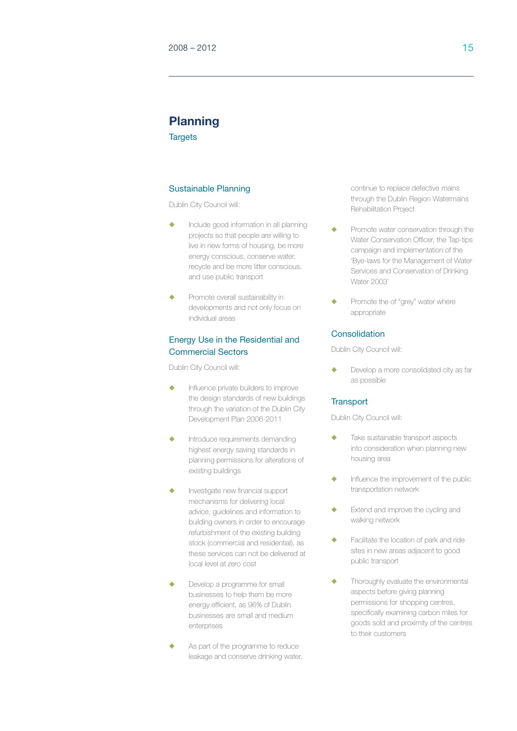## **Planning**

**Targets** 

#### Sustainable Planning

Dublin City Council will:

- $\bullet$  Include good information in all planning projects so that people are willing to live in new forms of housing, be more energy conscious, conserve water, recycle and be more litter conscious, and use public transport
- $\blacklozenge$  Promote overall sustainability in developments and not only focus on individual areas

#### Energy Use in the Residential and Commercial Sectors

Dublin City Council will:

- Influence private builders to improve the design standards of new buildings through the variation of the Dublin City Development Plan 2006-2011
- $\triangle$  Introduce requirements demanding highest energy saving standards in planning permissions for alterations of existing buildings
- Investigate new financial support mechanisms for delivering local advice, guidelines and information to building owners in order to encourage refurbishment of the existing building stock (commercial and residential), as these services can not be delivered at local level at zero cost
- Develop a programme for small businesses to help them be more energy efficient, as 96% of Dublin businesses are small and medium enterprises
- As part of the programme to reduce leakage and conserve drinking water,

continue to replace defective mains through the Dublin Region Watermains Rehabilitation Project

- Promote water conservation through the Water Conservation Officer, the Tap-tips campaign and implementation of the 'Bye-laws for the Management of Water Services and Conservation of Drinking Water 2003'
- Promote the of "grey" water where appropriate

#### Consolidation

Dublin City Council will:

Develop a more consolidated city as far as possible

#### **Transport**

- $\triangle$  Take sustainable transport aspects into consideration when planning new housing area
- Influence the improvement of the public transportation network
- Extend and improve the cycling and walking network
- Facilitate the location of park and ride sites in new areas adjacent to good public transport
- $\blacklozenge$  Thoroughly evaluate the environmental aspects before giving planning permissions for shopping centres, specifically examining carbon miles for goods sold and proximity of the centres to their customers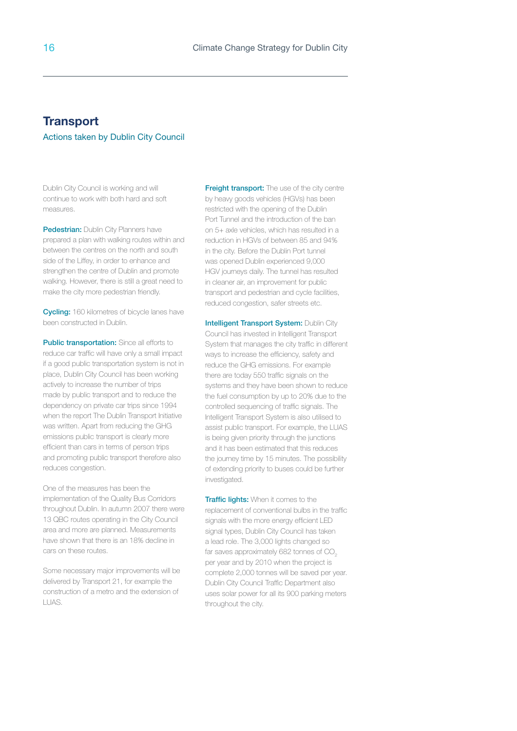## **Transport** Actions taken by Dublin City Council

Dublin City Council is working and will continue to work with both hard and soft measures.

Pedestrian: Dublin City Planners have prepared a plan with walking routes within and between the centres on the north and south side of the Liffey, in order to enhance and strengthen the centre of Dublin and promote walking. However, there is still a great need to make the city more pedestrian friendly.

**Cycling:** 160 kilometres of bicycle lanes have been constructed in Dublin.

Public transportation: Since all efforts to reduce car traffic will have only a small impact if a good public transportation system is not in place, Dublin City Council has been working actively to increase the number of trips made by public transport and to reduce the dependency on private car trips since 1994 when the report The Dublin Transport Initiative was written. Apart from reducing the GHG emissions public transport is clearly more efficient than cars in terms of person trips and promoting public transport therefore also reduces congestion.

One of the measures has been the implementation of the Quality Bus Corridors throughout Dublin. In autumn 2007 there were 13 QBC routes operating in the City Council area and more are planned. Measurements have shown that there is an 18% decline in cars on these routes.

Some necessary major improvements will be delivered by Transport 21, for example the construction of a metro and the extension of LUAS.

**Freight transport:** The use of the city centre by heavy goods vehicles (HGVs) has been restricted with the opening of the Dublin Port Tunnel and the introduction of the ban on 5+ axle vehicles, which has resulted in a reduction in HGVs of between 85 and 94% in the city. Before the Dublin Port tunnel was opened Dublin experienced 9,000 HGV journeys daily. The tunnel has resulted in cleaner air, an improvement for public transport and pedestrian and cycle facilities, reduced congestion, safer streets etc.

**Intelligent Transport System: Dublin City** Council has invested in Intelligent Transport System that manages the city traffic in different ways to increase the efficiency, safety and reduce the GHG emissions. For example there are today 550 traffic signals on the systems and they have been shown to reduce the fuel consumption by up to 20% due to the controlled sequencing of traffic signals. The Intelligent Transport System is also utilised to assist public transport. For example, the LUAS is being given priority through the junctions and it has been estimated that this reduces the journey time by 15 minutes. The possibility of extending priority to buses could be further investigated.

Traffic lights: When it comes to the replacement of conventional bulbs in the traffic signals with the more energy efficient LED signal types, Dublin City Council has taken a lead role. The 3,000 lights changed so far saves approximately  $682$  tonnes of  $CO<sub>2</sub>$ per year and by 2010 when the project is complete 2,000 tonnes will be saved per year. Dublin City Council Traffic Department also uses solar power for all its 900 parking meters throughout the city.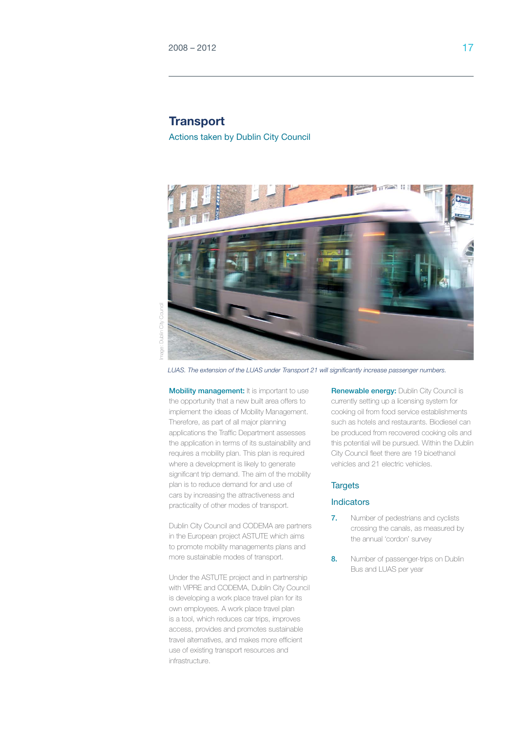## **Transport**

Actions taken by Dublin City Council



City Council Image: Dublin City CouncilDublin ( mage:

*LUAS. The extension of the LUAS under Transport 21 will significantly increase passenger numbers.*

Mobility management: It is important to use the opportunity that a new built area offers to implement the ideas of Mobility Management. Therefore, as part of all major planning applications the Traffic Department assesses the application in terms of its sustainability and requires a mobility plan. This plan is required where a development is likely to generate significant trip demand. The aim of the mobility plan is to reduce demand for and use of cars by increasing the attractiveness and practicality of other modes of transport.

Dublin City Council and CODEMA are partners in the European project ASTUTE which aims to promote mobility managements plans and more sustainable modes of transport.

Under the ASTUTE project and in partnership with VIPRE and CODEMA, Dublin City Council is developing a work place travel plan for its own employees. A work place travel plan is a tool, which reduces car trips, improves access, provides and promotes sustainable travel alternatives, and makes more efficient use of existing transport resources and infrastructure.

Renewable energy: Dublin City Council is currently setting up a licensing system for cooking oil from food service establishments such as hotels and restaurants. Biodiesel can be produced from recovered cooking oils and this potential will be pursued. Within the Dublin City Council fleet there are 19 bioethanol vehicles and 21 electric vehicles.

#### **Targets**

#### **Indicators**

- 7. Number of pedestrians and cyclists crossing the canals, as measured by the annual 'cordon' survey
- 8. Number of passenger-trips on Dublin Bus and LUAS per year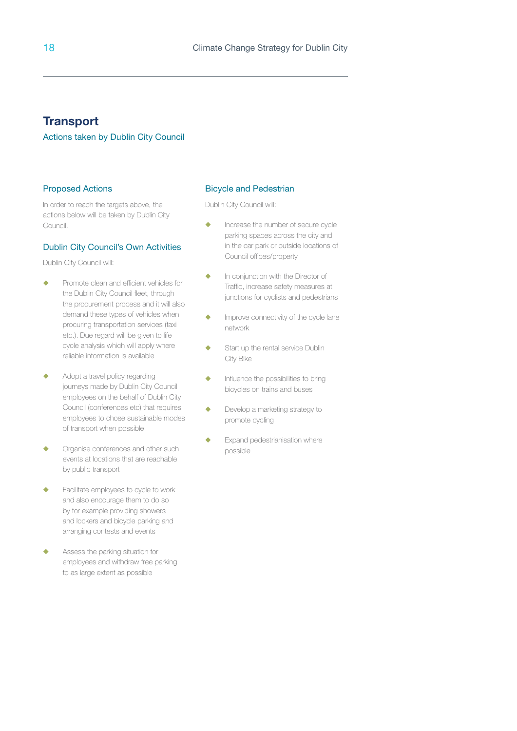## **Transport**

#### Actions taken by Dublin City Council

#### Proposed Actions

In order to reach the targets above, the actions below will be taken by Dublin City Council.

#### Dublin City Council's Own Activities

Dublin City Council will:

- **EXECUTE:** Promote clean and efficient vehicles for the Dublin City Council fleet, through the procurement process and it will also demand these types of vehicles when procuring transportation services (taxi etc.). Due regard will be given to life cycle analysis which will apply where reliable information is available
- $\triangleleft$  Adopt a travel policy regarding journeys made by Dublin City Council employees on the behalf of Dublin City Council (conferences etc) that requires employees to chose sustainable modes of transport when possible
- $\leftarrow$  Organise conferences and other such events at locations that are reachable by public transport
- $\leftarrow$  Facilitate employees to cycle to work and also encourage them to do so by for example providing showers and lockers and bicycle parking and arranging contests and events
- **EXECUTE:** Assess the parking situation for employees and withdraw free parking to as large extent as possible

#### Bicycle and Pedestrian

- $\triangle$  Increase the number of secure cycle parking spaces across the city and in the car park or outside locations of Council offices/property
- **th** In conjunction with the Director of Traffic, increase safety measures at junctions for cyclists and pedestrians
- $\leftarrow$  Improve connectivity of the cycle lane network
- $\triangle$  Start up the rental service Dublin City Bike
- $\blacklozenge$  Influence the possibilities to bring bicycles on trains and buses
- ◆ Develop a marketing strategy to promote cycling
- $\leftarrow$  Expand pedestrianisation where possible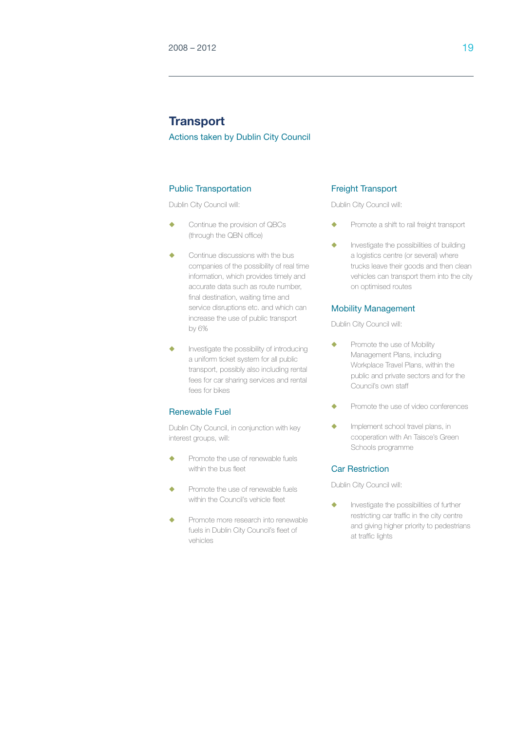## **Transport**

Actions taken by Dublin City Council

#### Public Transportation

Dublin City Council will:

- $\leftarrow$  Continue the provision of QBCs (through the QBN office)
- Continue discussions with the bus companies of the possibility of real time information, which provides timely and accurate data such as route number, final destination, waiting time and service disruptions etc. and which can increase the use of public transport by 6%
- Investigate the possibility of introducing a uniform ticket system for all public transport, possibly also including rental fees for car sharing services and rental fees for bikes

#### Renewable Fuel

Dublin City Council, in conjunction with key interest groups, will:

- Promote the use of renewable fuels within the bus fleet
- Promote the use of renewable fuels within the Council's vehicle fleet
- Promote more research into renewable fuels in Dublin City Council's fleet of vehicles

#### Freight Transport

Dublin City Council will:

- **+** Promote a shift to rail freight transport
- $\bullet$  Investigate the possibilities of building a logistics centre (or several) where trucks leave their goods and then clean vehicles can transport them into the city on optimised routes

#### Mobility Management

Dublin City Council will:

- Promote the use of Mobility Management Plans, including Workplace Travel Plans, within the public and private sectors and for the Council's own staff
- **The Promote the use of video conferences**
- $\leftarrow$  Implement school travel plans, in cooperation with An Taisce's Green Schools programme

#### Car Restriction

Dublin City Council will:

 $\blacklozenge$  Investigate the possibilities of further restricting car traffic in the city centre and giving higher priority to pedestrians at traffic lights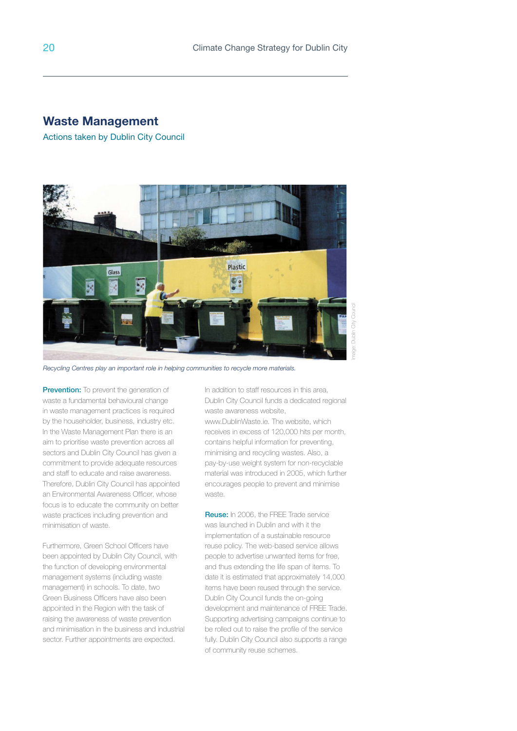### **Waste Management**

Actions taken by Dublin City Council



*Recycling Centres play an important role in helping communities to recycle more materials.*

**Prevention:** To prevent the generation of waste a fundamental behavioural change in waste management practices is required by the householder, business, industry etc. In the Waste Management Plan there is an aim to prioritise waste prevention across all sectors and Dublin City Council has given a commitment to provide adequate resources and staff to educate and raise awareness. Therefore, Dublin City Council has appointed an Environmental Awareness Officer, whose focus is to educate the community on better waste practices including prevention and minimisation of waste.

Furthermore, Green School Officers have been appointed by Dublin City Council, with the function of developing environmental management systems (including waste management) in schools. To date, two Green Business Officers have also been appointed in the Region with the task of raising the awareness of waste prevention and minimisation in the business and industrial sector. Further appointments are expected.

In addition to staff resources in this area, Dublin City Council funds a dedicated regional waste awareness website, www.DublinWaste.ie. The website, which

receives in excess of 120,000 hits per month, contains helpful information for preventing, minimising and recycling wastes. Also, a pay-by-use weight system for non-recyclable material was introduced in 2005, which further encourages people to prevent and minimise waste.

Reuse: In 2006, the FREE Trade service was launched in Dublin and with it the implementation of a sustainable resource reuse policy. The web-based service allows people to advertise unwanted items for free, and thus extending the life span of items. To date it is estimated that approximately 14,000 items have been reused through the service. Dublin City Council funds the on-going development and maintenance of FREE Trade. Supporting advertising campaigns continue to be rolled out to raise the profile of the service fully. Dublin City Council also supports a range of community reuse schemes.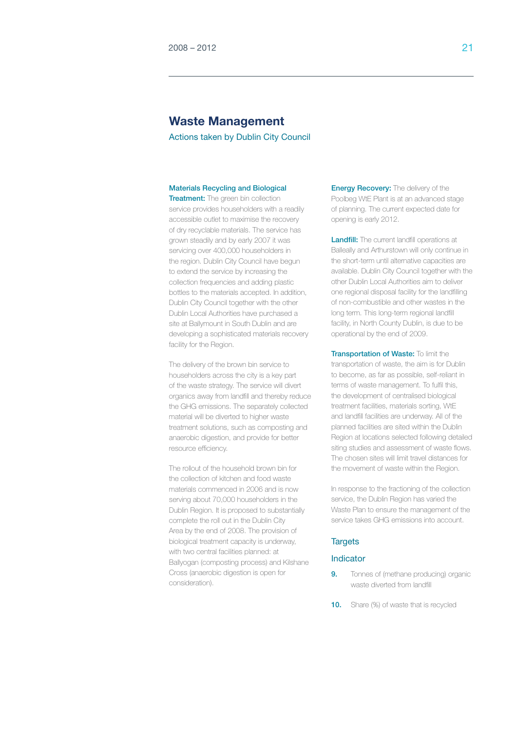## **Waste Management**

Actions taken by Dublin City Council

#### Materials Recycling and Biological

**Treatment:** The green bin collection service provides householders with a readily accessible outlet to maximise the recovery of dry recyclable materials. The service has grown steadily and by early 2007 it was servicing over 400,000 householders in the region. Dublin City Council have begun to extend the service by increasing the collection frequencies and adding plastic bottles to the materials accepted. In addition, Dublin City Council together with the other Dublin Local Authorities have purchased a site at Ballymount in South Dublin and are developing a sophisticated materials recovery facility for the Region.

The delivery of the brown bin service to householders across the city is a key part of the waste strategy. The service will divert organics away from landfill and thereby reduce the GHG emissions. The separately collected material will be diverted to higher waste treatment solutions, such as composting and anaerobic digestion, and provide for better resource efficiency.

The rollout of the household brown bin for the collection of kitchen and food waste materials commenced in 2006 and is now serving about 70,000 householders in the Dublin Region. It is proposed to substantially complete the roll out in the Dublin City Area by the end of 2008. The provision of biological treatment capacity is underway, with two central facilities planned: at Ballyogan (composting process) and Kilshane Cross (anaerobic digestion is open for consideration).

**Energy Recovery:** The delivery of the Poolbeg WtE Plant is at an advanced stage of planning. The current expected date for opening is early 2012.

**Landfill:** The current landfill operations at Balleally and Arthurstown will only continue in the short-term until alternative capacities are available. Dublin City Council together with the other Dublin Local Authorities aim to deliver one regional disposal facility for the landfilling of non-combustible and other wastes in the long term. This long-term regional landfill facility, in North County Dublin, is due to be operational by the end of 2009.

Transportation of Waste: To limit the transportation of waste, the aim is for Dublin to become, as far as possible, self-reliant in terms of waste management. To fulfil this, the development of centralised biological treatment facilities, materials sorting, WtE and landfill facilities are underway. All of the planned facilities are sited within the Dublin Region at locations selected following detailed siting studies and assessment of waste flows. The chosen sites will limit travel distances for the movement of waste within the Region.

In response to the fractioning of the collection service, the Dublin Region has varied the Waste Plan to ensure the management of the service takes GHG emissions into account.

#### **Targets**

#### Indicator

- **9.** Tonnes of (methane producing) organic waste diverted from landfill
- **10.** Share (%) of waste that is recycled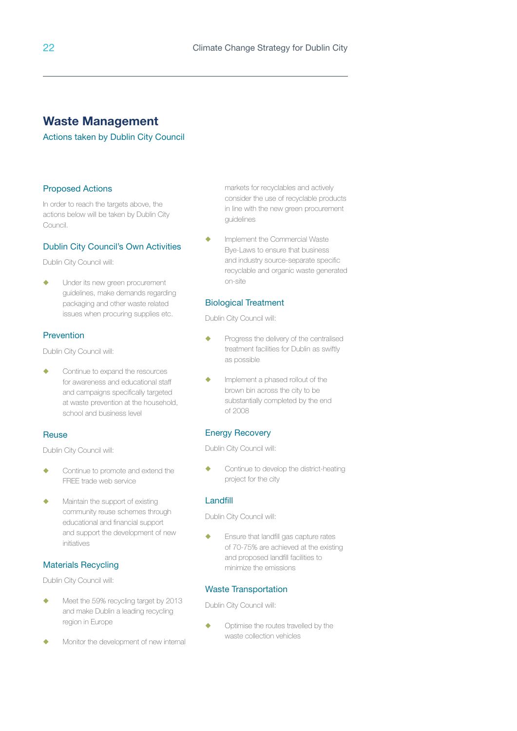## **Waste Management**

#### Actions taken by Dublin City Council

#### Proposed Actions

In order to reach the targets above, the actions below will be taken by Dublin City Council.

#### Dublin City Council's Own Activities

Dublin City Council will:

 $\leftarrow$  Under its new green procurement guidelines, make demands regarding packaging and other waste related issues when procuring supplies etc.

#### Prevention

Dublin City Council will:

Continue to expand the resources for awareness and educational staff and campaigns specifically targeted at waste prevention at the household, school and business level

#### **Reuse**

Dublin City Council will:

- Continue to promote and extend the FREE trade web service
- Maintain the support of existing community reuse schemes through educational and financial support and support the development of new initiatives

#### Materials Recycling

Dublin City Council will:

- Meet the 59% recycling target by 2013 and make Dublin a leading recycling region in Europe
- Monitor the development of new internal

markets for recyclables and actively consider the use of recyclable products in line with the new green procurement guidelines

 $\leftarrow$  Implement the Commercial Waste Bye-Laws to ensure that business and industry source-separate specific recyclable and organic waste generated on-site

#### Biological Treatment

Dublin City Council will:

- $\leftarrow$  Progress the delivery of the centralised treatment facilities for Dublin as swiftly as possible
- $\blacklozenge$  Implement a phased rollout of the brown bin across the city to be substantially completed by the end of 2008

#### Energy Recovery

Dublin City Council will:

**Continue to develop the district-heating** project for the city

#### Landfill

Dublin City Council will:

**Ensure that landfill gas capture rates** of 70-75% are achieved at the existing and proposed landfill facilities to minimize the emissions

#### Waste Transportation

Dublin City Council will:

 $\blacklozenge$  Optimise the routes travelled by the waste collection vehicles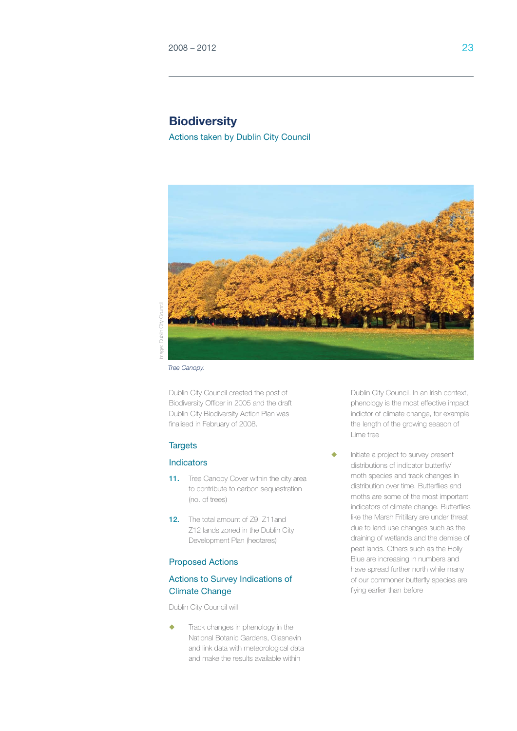## **Biodiversity**

Actions taken by Dublin City Council



Image: Dublin City CouncilDublin City

*Tree Canopy.*

Dublin City Council created the post of Biodiversity Officer in 2005 and the draft Dublin City Biodiversity Action Plan was finalised in February of 2008.

#### **Targets**

#### **Indicators**

- 11. Tree Canopy Cover within the city area to contribute to carbon sequestration (no. of trees)
- 12. The total amount of 79, 711and Z12 lands zoned in the Dublin City Development Plan (hectares)

#### Proposed Actions

#### Actions to Survey Indications of Climate Change

Dublin City Council will:

Track changes in phenology in the National Botanic Gardens, Glasnevin and link data with meteorological data and make the results available within

Dublin City Council. In an Irish context, phenology is the most effective impact indictor of climate change, for example the length of the growing season of Lime tree

Initiate a project to survey present distributions of indicator butterfly/ moth species and track changes in distribution over time. Butterflies and moths are some of the most important indicators of climate change. Butterflies like the Marsh Fritillary are under threat due to land use changes such as the draining of wetlands and the demise of peat lands. Others such as the Holly Blue are increasing in numbers and have spread further north while many of our commoner butterfly species are flying earlier than before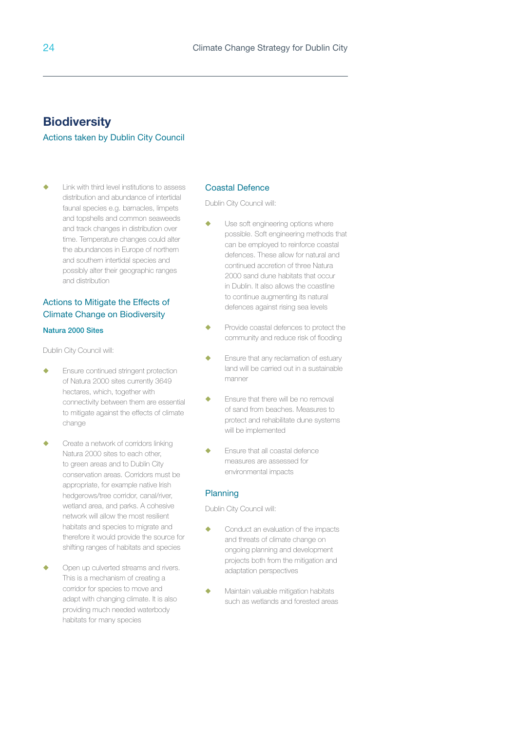## **Biodiversity**

#### Actions taken by Dublin City Council

 $\leftarrow$  Link with third level institutions to assess distribution and abundance of intertidal faunal species e.g. barnacles, limpets and topshells and common seaweeds and track changes in distribution over time. Temperature changes could alter the abundances in Europe of northern and southern intertidal species and possibly alter their geographic ranges and distribution

#### Actions to Mitigate the Effects of Climate Change on Biodiversity

#### Natura 2000 Sites

Dublin City Council will:

- $\leftarrow$  Ensure continued stringent protection of Natura 2000 sites currently 3649 hectares, which, together with connectivity between them are essential to mitigate against the effects of climate change
- Create a network of corridors linking Natura 2000 sites to each other, to green areas and to Dublin City conservation areas. Corridors must be appropriate, for example native Irish hedgerows/tree corridor, canal/river, wetland area, and parks. A cohesive network will allow the most resilient habitats and species to migrate and therefore it would provide the source for shifting ranges of habitats and species
- Open up culverted streams and rivers. This is a mechanism of creating a corridor for species to move and adapt with changing climate. It is also providing much needed waterbody habitats for many species

#### Coastal Defence

Dublin City Council will:

- $\blacklozenge$  Use soft engineering options where possible. Soft engineering methods that can be employed to reinforce coastal defences. These allow for natural and continued accretion of three Natura 2000 sand dune habitats that occur in Dublin. It also allows the coastline to continue augmenting its natural defences against rising sea levels
- Provide coastal defences to protect the community and reduce risk of flooding
- $\leftarrow$  Ensure that any reclamation of estuary land will be carried out in a sustainable manner
- $\leftarrow$  Ensure that there will be no removal of sand from beaches. Measures to protect and rehabilitate dune systems will be implemented
- $\leftarrow$  Ensure that all coastal defence measures are assessed for environmental impacts

#### Planning

- u Conduct an evaluation of the impacts and threats of climate change on ongoing planning and development projects both from the mitigation and adaptation perspectives
- $\blacklozenge$  Maintain valuable mitigation habitats such as wetlands and forested areas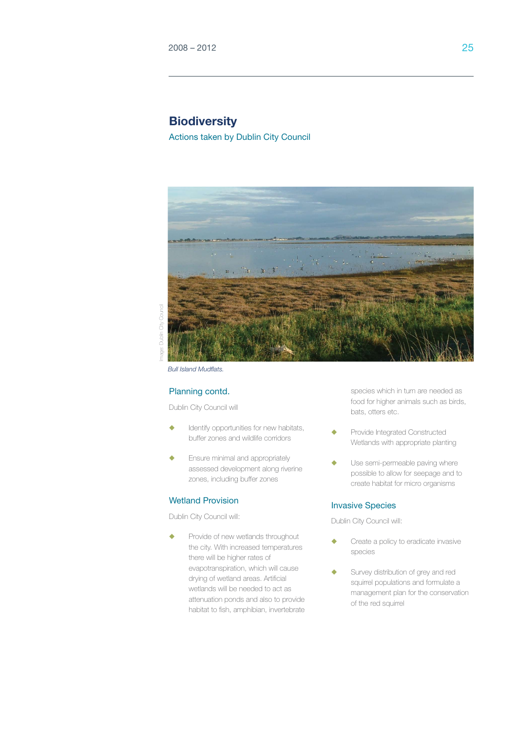## **Biodiversity**

Actions taken by Dublin City Council



Council Image: Dublin City Council $\tilde{a}$ Dublin

*Bull Island Mudflats.*

#### Planning contd.

Dublin City Council will

- Identify opportunities for new habitats, buffer zones and wildlife corridors
- $\leftarrow$  Ensure minimal and appropriately assessed development along riverine zones, including buffer zones

#### Wetland Provision

Dublin City Council will:

**•** Provide of new wetlands throughout the city. With increased temperatures there will be higher rates of evapotranspiration, which will cause drying of wetland areas. Artificial wetlands will be needed to act as attenuation ponds and also to provide habitat to fish, amphibian, invertebrate

species which in turn are needed as food for higher animals such as birds, bats, otters etc.

- Provide Integrated Constructed Wetlands with appropriate planting
- Use semi-permeable paving where possible to allow for seepage and to create habitat for micro organisms

#### Invasive Species

- Create a policy to eradicate invasive species
- Survey distribution of grey and red squirrel populations and formulate a management plan for the conservation of the red squirrel